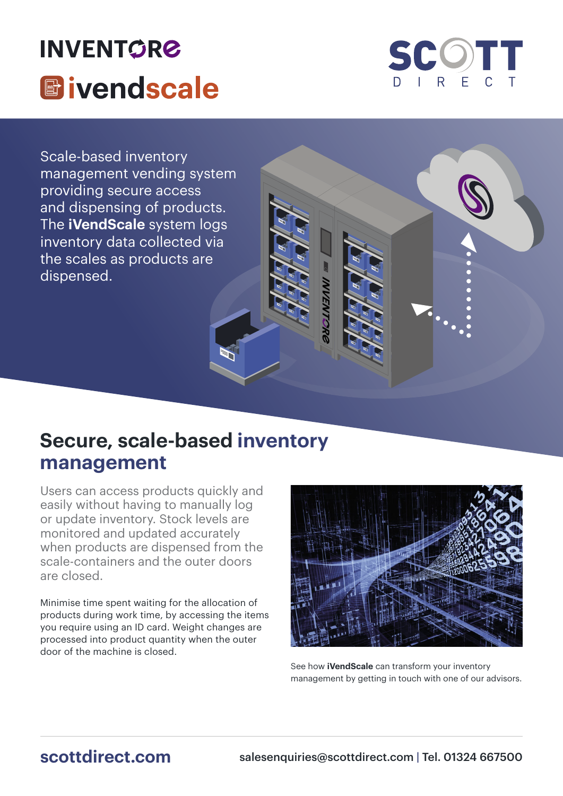# **INVENTORE E**ivendscale



Scale-based inventory management vending system providing secure access and dispensing of products. The **iVendScale** system logs inventory data collected via the scales as products are dispensed.

### **Secure, scale-based inventory management**

Users can access products quickly and easily without having to manually log or update inventory. Stock levels are monitored and updated accurately when products are dispensed from the scale-containers and the outer doors are closed.

Minimise time spent waiting for the allocation of products during work time, by accessing the items you require using an ID card. Weight changes are processed into product quantity when the outer door of the machine is closed.



VVENTO

See how **iVendScale** can transform your inventory management by getting in touch with one of our advisors.